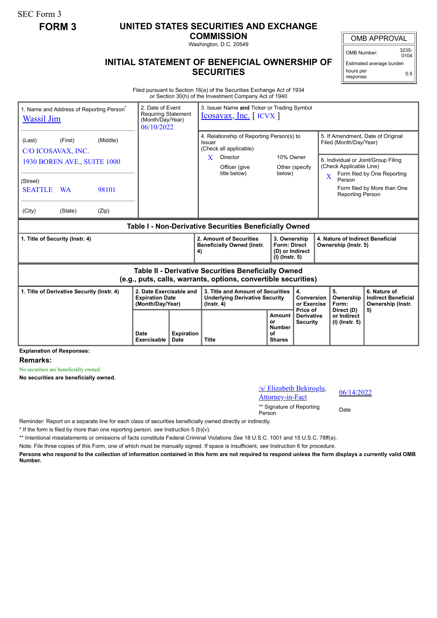SEC Form 3

## **FORM 3 UNITED STATES SECURITIES AND EXCHANGE**

**COMMISSION** Washington, D.C. 20549

OMB APPROVAL

OMB Number: 3235-  $0104$ 

Estimated average burden hours per response: 0.5

## **INITIAL STATEMENT OF BENEFICIAL OWNERSHIP OF SECURITIES**

Filed pursuant to Section 16(a) of the Securities Exchange Act of 1934 or Section 30(h) of the Investment Company Act of 1940

| 1. Name and Address of Reporting Person <sup>®</sup><br><b>Wassil Jim</b>                                             |           |          | 2. Date of Event<br><b>Requiring Statement</b><br>(Month/Day/Year)<br>06/10/2022 |                                  | 3. Issuer Name and Ticker or Trading Symbol<br>$Icosavax, Inc.$ $[ICVX]$                       |                                                              |                                                                          |                                                  |                                                                                                                                                              |                                             |                                                                 |
|-----------------------------------------------------------------------------------------------------------------------|-----------|----------|----------------------------------------------------------------------------------|----------------------------------|------------------------------------------------------------------------------------------------|--------------------------------------------------------------|--------------------------------------------------------------------------|--------------------------------------------------|--------------------------------------------------------------------------------------------------------------------------------------------------------------|---------------------------------------------|-----------------------------------------------------------------|
| (Last)<br>C/O ICOSAVAX, INC.                                                                                          | (First)   | (Middle) |                                                                                  |                                  | 4. Relationship of Reporting Person(s) to<br>Issuer<br>(Check all applicable)                  |                                                              |                                                                          |                                                  | 5. If Amendment, Date of Original<br>Filed (Month/Day/Year)<br>6. Individual or Joint/Group Filing<br>(Check Applicable Line)<br>Form filed by One Reporting |                                             |                                                                 |
| 1930 BOREN AVE., SUITE 1000                                                                                           |           |          |                                                                                  |                                  | X.                                                                                             | <b>Director</b><br>Officer (give<br>title below)             | 10% Owner<br>below)                                                      | Other (specify                                   |                                                                                                                                                              |                                             |                                                                 |
| (Street)                                                                                                              |           |          |                                                                                  |                                  |                                                                                                |                                                              |                                                                          |                                                  | X<br>Person                                                                                                                                                  |                                             |                                                                 |
| <b>SEATTLE</b>                                                                                                        | <b>WA</b> | 98101    |                                                                                  |                                  |                                                                                                |                                                              |                                                                          |                                                  |                                                                                                                                                              | <b>Reporting Person</b>                     | Form filed by More than One                                     |
| (City)                                                                                                                | (State)   | (Zip)    |                                                                                  |                                  |                                                                                                |                                                              |                                                                          |                                                  |                                                                                                                                                              |                                             |                                                                 |
| Table I - Non-Derivative Securities Beneficially Owned                                                                |           |          |                                                                                  |                                  |                                                                                                |                                                              |                                                                          |                                                  |                                                                                                                                                              |                                             |                                                                 |
| 1. Title of Security (Instr. 4)                                                                                       |           |          |                                                                                  |                                  | 4)                                                                                             | 2. Amount of Securities<br><b>Beneficially Owned (Instr.</b> | 3. Ownership<br><b>Form: Direct</b><br>(D) or Indirect<br>(I) (Instr. 5) |                                                  | 4. Nature of Indirect Beneficial<br>Ownership (Instr. 5)                                                                                                     |                                             |                                                                 |
| Table II - Derivative Securities Beneficially Owned<br>(e.g., puts, calls, warrants, options, convertible securities) |           |          |                                                                                  |                                  |                                                                                                |                                                              |                                                                          |                                                  |                                                                                                                                                              |                                             |                                                                 |
| 1. Title of Derivative Security (Instr. 4)                                                                            |           |          | 2. Date Exercisable and<br><b>Expiration Date</b><br>(Month/Day/Year)            |                                  | 3. Title and Amount of Securities<br><b>Underlying Derivative Security</b><br>$($ lnstr. 4 $)$ |                                                              |                                                                          | 4.<br>Conversion<br>or Exercise                  |                                                                                                                                                              | 5.<br>Ownership<br>Form:                    | 6. Nature of<br><b>Indirect Beneficial</b><br>Ownership (Instr. |
|                                                                                                                       |           |          | Date<br>Exercisable                                                              | <b>Expiration</b><br><b>Date</b> | <b>Title</b>                                                                                   |                                                              | <b>Amount</b><br>or<br><b>Number</b><br>Ωf<br><b>Shares</b>              | Price of<br><b>Derivative</b><br><b>Security</b> |                                                                                                                                                              | Direct (D)<br>or Indirect<br>(I) (Instr. 5) | 5)                                                              |

**Explanation of Responses:**

**Remarks:**

No securities are beneficially owned.

**No securities are beneficially owned.**

/s/ Elizabeth Bekiroglu,  $\frac{8}{25}$  Elizabeth Bekitogiu,  $\frac{06}{14/2022}$ 

\*\* Signature of Reporting <sub>Date</sub><br>Person

Reminder: Report on a separate line for each class of securities beneficially owned directly or indirectly.

\* If the form is filed by more than one reporting person, *see* Instruction 5 (b)(v).

\*\* Intentional misstatements or omissions of facts constitute Federal Criminal Violations *See* 18 U.S.C. 1001 and 15 U.S.C. 78ff(a).

Note: File three copies of this Form, one of which must be manually signed. If space is insufficient, *see* Instruction 6 for procedure.

**Persons who respond to the collection of information contained in this form are not required to respond unless the form displays a currently valid OMB Number.**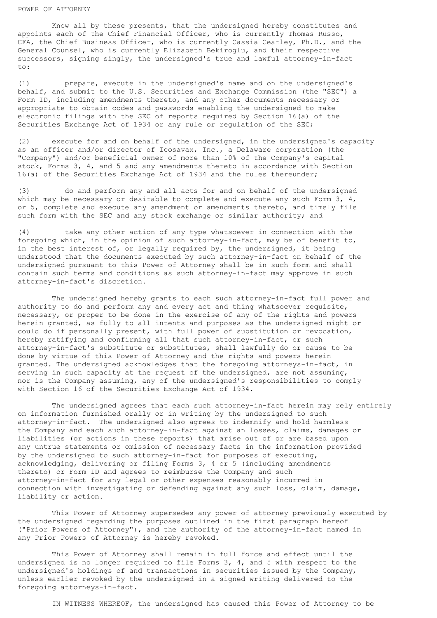## POWER OF ATTORNEY

Know all by these presents, that the undersigned hereby constitutes and appoints each of the Chief Financial Officer, who is currently Thomas Russo, CFA, the Chief Business Officer, who is currently Cassia Cearley, Ph.D., and the General Counsel, who is currently Elizabeth Bekiroglu, and their respective successors, signing singly, the undersigned's true and lawful attorney-in-fact to:

(1) prepare, execute in the undersigned's name and on the undersigned's behalf, and submit to the U.S. Securities and Exchange Commission (the "SEC") a Form ID, including amendments thereto, and any other documents necessary or appropriate to obtain codes and passwords enabling the undersigned to make electronic filings with the SEC of reports required by Section 16(a) of the Securities Exchange Act of 1934 or any rule or regulation of the SEC;

(2) execute for and on behalf of the undersigned, in the undersigned's capacity as an officer and/or director of Icosavax, Inc., a Delaware corporation (the "Company") and/or beneficial owner of more than 10% of the Company's capital stock, Forms 3, 4, and 5 and any amendments thereto in accordance with Section 16(a) of the Securities Exchange Act of 1934 and the rules thereunder;

(3) do and perform any and all acts for and on behalf of the undersigned which may be necessary or desirable to complete and execute any such Form  $3$ ,  $4$ , or 5, complete and execute any amendment or amendments thereto, and timely file such form with the SEC and any stock exchange or similar authority; and

(4) take any other action of any type whatsoever in connection with the foregoing which, in the opinion of such attorney-in-fact, may be of benefit to, in the best interest of, or legally required by, the undersigned, it being understood that the documents executed by such attorney-in-fact on behalf of the undersigned pursuant to this Power of Attorney shall be in such form and shall contain such terms and conditions as such attorney-in-fact may approve in such attorney-in-fact's discretion.

The undersigned hereby grants to each such attorney-in-fact full power and authority to do and perform any and every act and thing whatsoever requisite, necessary, or proper to be done in the exercise of any of the rights and powers herein granted, as fully to all intents and purposes as the undersigned might or could do if personally present, with full power of substitution or revocation, hereby ratifying and confirming all that such attorney-in-fact, or such attorney-in-fact's substitute or substitutes, shall lawfully do or cause to be done by virtue of this Power of Attorney and the rights and powers herein granted. The undersigned acknowledges that the foregoing attorneys-in-fact, in serving in such capacity at the request of the undersigned, are not assuming, nor is the Company assuming, any of the undersigned's responsibilities to comply with Section 16 of the Securities Exchange Act of 1934.

The undersigned agrees that each such attorney-in-fact herein may rely entirely on information furnished orally or in writing by the undersigned to such attorney-in-fact. The undersigned also agrees to indemnify and hold harmless the Company and each such attorney-in-fact against an losses, claims, damages or liabilities (or actions in these reports) that arise out of or are based upon any untrue statements or omission of necessary facts in the information provided by the undersigned to such attorney-in-fact for purposes of executing, acknowledging, delivering or filing Forms 3, 4 or 5 (including amendments thereto) or Form ID and agrees to reimburse the Company and such attorney-in-fact for any legal or other expenses reasonably incurred in connection with investigating or defending against any such loss, claim, damage, liability or action.

This Power of Attorney supersedes any power of attorney previously executed by the undersigned regarding the purposes outlined in the first paragraph hereof ("Prior Powers of Attorney"), and the authority of the attorney-in-fact named in any Prior Powers of Attorney is hereby revoked.

This Power of Attorney shall remain in full force and effect until the undersigned is no longer required to file Forms 3, 4, and 5 with respect to the undersigned's holdings of and transactions in securities issued by the Company, unless earlier revoked by the undersigned in a signed writing delivered to the foregoing attorneys-in-fact.